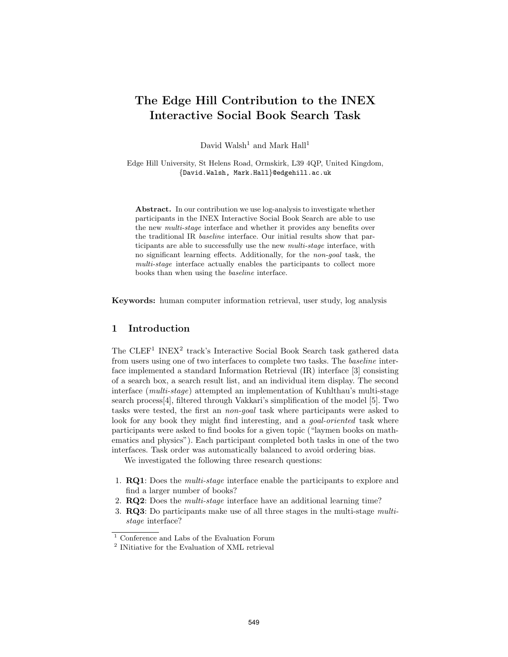# The Edge Hill Contribution to the INEX Interactive Social Book Search Task

David Walsh<sup>1</sup> and Mark Hall<sup>1</sup>

Edge Hill University, St Helens Road, Ormskirk, L39 4QP, United Kingdom, {David.Walsh, Mark.Hall}@edgehill.ac.uk

Abstract. In our contribution we use log-analysis to investigate whether participants in the INEX Interactive Social Book Search are able to use the new multi-stage interface and whether it provides any benefits over the traditional IR baseline interface. Our initial results show that participants are able to successfully use the new multi-stage interface, with no significant learning effects. Additionally, for the non-goal task, the multi-stage interface actually enables the participants to collect more books than when using the baseline interface.

Keywords: human computer information retrieval, user study, log analysis

### 1 Introduction

The CLEF<sup>1</sup> INEX<sup>2</sup> track's Interactive Social Book Search task gathered data from users using one of two interfaces to complete two tasks. The baseline interface implemented a standard Information Retrieval (IR) interface [3] consisting of a search box, a search result list, and an individual item display. The second interface (multi-stage) attempted an implementation of Kuhlthau's multi-stage search process[4], filtered through Vakkari's simplification of the model [5]. Two tasks were tested, the first an non-goal task where participants were asked to look for any book they might find interesting, and a *goal-oriented* task where participants were asked to find books for a given topic ("laymen books on mathematics and physics"). Each participant completed both tasks in one of the two interfaces. Task order was automatically balanced to avoid ordering bias.

We investigated the following three research questions:

- 1. RQ1: Does the multi-stage interface enable the participants to explore and find a larger number of books?
- 2. **RQ2**: Does the *multi-stage* interface have an additional learning time?
- 3. RQ3: Do participants make use of all three stages in the multi-stage multistage interface?

 $^{\mathrm{1}}$  Conference and Labs of the Evaluation Forum

<sup>2</sup> INitiative for the Evaluation of XML retrieval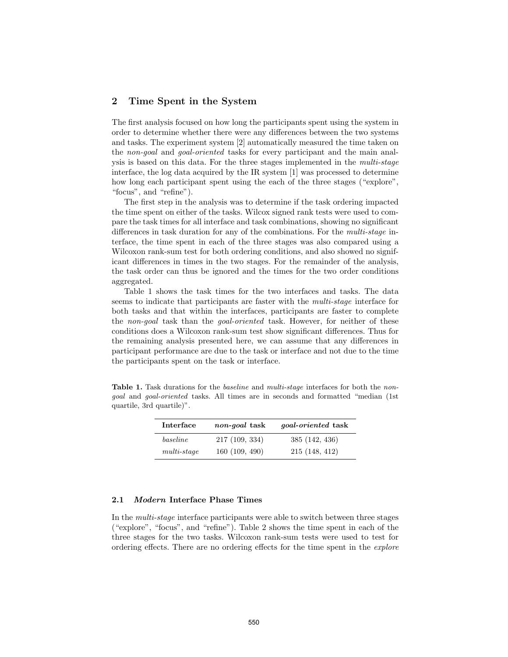## 2 Time Spent in the System

The first analysis focused on how long the participants spent using the system in order to determine whether there were any differences between the two systems and tasks. The experiment system [2] automatically measured the time taken on the non-goal and goal-oriented tasks for every participant and the main analysis is based on this data. For the three stages implemented in the multi-stage interface, the log data acquired by the IR system [1] was processed to determine how long each participant spent using the each of the three stages ("explore", "focus", and "refine").

The first step in the analysis was to determine if the task ordering impacted the time spent on either of the tasks. Wilcox signed rank tests were used to compare the task times for all interface and task combinations, showing no significant differences in task duration for any of the combinations. For the multi-stage interface, the time spent in each of the three stages was also compared using a Wilcoxon rank-sum test for both ordering conditions, and also showed no significant differences in times in the two stages. For the remainder of the analysis, the task order can thus be ignored and the times for the two order conditions aggregated.

Table 1 shows the task times for the two interfaces and tasks. The data seems to indicate that participants are faster with the multi-stage interface for both tasks and that within the interfaces, participants are faster to complete the non-goal task than the goal-oriented task. However, for neither of these conditions does a Wilcoxon rank-sum test show significant differences. Thus for the remaining analysis presented here, we can assume that any differences in participant performance are due to the task or interface and not due to the time the participants spent on the task or interface.

Table 1. Task durations for the *baseline* and *multi-stage* interfaces for both the *non*goal and goal-oriented tasks. All times are in seconds and formatted "median (1st quartile, 3rd quartile)".

| Interface     | non-qoal task | <i>goal-oriented</i> task |  |  |  |  |
|---------------|---------------|---------------------------|--|--|--|--|
| baseline      | 217(109, 334) | 385(142, 436)             |  |  |  |  |
| $multi-stage$ | 160(109, 490) | 215(148, 412)             |  |  |  |  |

#### 2.1 Modern Interface Phase Times

In the multi-stage interface participants were able to switch between three stages ("explore", "focus", and "refine"). Table 2 shows the time spent in each of the three stages for the two tasks. Wilcoxon rank-sum tests were used to test for ordering effects. There are no ordering effects for the time spent in the explore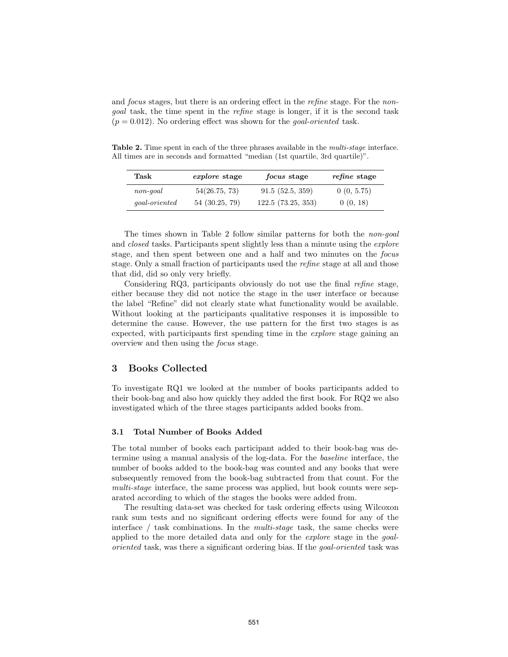and *focus* stages, but there is an ordering effect in the *refine* stage. For the *non*goal task, the time spent in the refine stage is longer, if it is the second task  $(p = 0.012)$ . No ordering effect was shown for the *goal-oriented* task.

Table 2. Time spent in each of the three phrases available in the *multi-stage* interface. All times are in seconds and formatted "median (1st quartile, 3rd quartile)".

| Task                  | <i>explore</i> stage | <i>focus</i> stage | <i>refine</i> stage |  |  |
|-----------------------|----------------------|--------------------|---------------------|--|--|
| $\it non\text{-}goal$ | 54(26.75, 73)        | 91.5(52.5, 359)    | 0(0, 5.75)          |  |  |
| <i>goal-oriented</i>  | 54(30.25, 79)        | 122.5(73.25, 353)  | 0(0, 18)            |  |  |

The times shown in Table 2 follow similar patterns for both the non-goal and *closed* tasks. Participants spent slightly less than a minute using the *explore* stage, and then spent between one and a half and two minutes on the focus stage. Only a small fraction of participants used the refine stage at all and those that did, did so only very briefly.

Considering RQ3, participants obviously do not use the final refine stage, either because they did not notice the stage in the user interface or because the label "Refine" did not clearly state what functionality would be available. Without looking at the participants qualitative responses it is impossible to determine the cause. However, the use pattern for the first two stages is as expected, with participants first spending time in the explore stage gaining an overview and then using the focus stage.

## 3 Books Collected

To investigate RQ1 we looked at the number of books participants added to their book-bag and also how quickly they added the first book. For RQ2 we also investigated which of the three stages participants added books from.

#### 3.1 Total Number of Books Added

The total number of books each participant added to their book-bag was determine using a manual analysis of the log-data. For the baseline interface, the number of books added to the book-bag was counted and any books that were subsequently removed from the book-bag subtracted from that count. For the multi-stage interface, the same process was applied, but book counts were separated according to which of the stages the books were added from.

The resulting data-set was checked for task ordering effects using Wilcoxon rank sum tests and no significant ordering effects were found for any of the interface  $/$  task combinations. In the *multi-stage* task, the same checks were applied to the more detailed data and only for the *explore* stage in the *goal*oriented task, was there a significant ordering bias. If the goal-oriented task was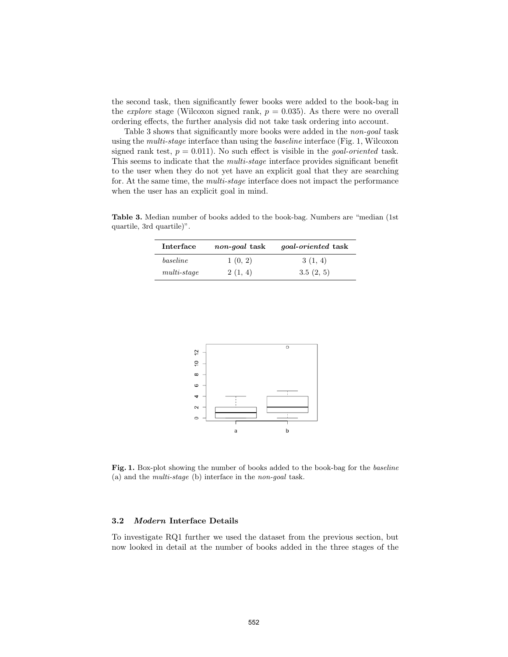the second task, then significantly fewer books were added to the book-bag in the *explore* stage (Wilcoxon signed rank,  $p = 0.035$ ). As there were no overall ordering effects, the further analysis did not take task ordering into account.

Table 3 shows that significantly more books were added in the non-goal task using the multi-stage interface than using the baseline interface (Fig. 1, Wilcoxon signed rank test,  $p = 0.011$ ). No such effect is visible in the *goal-oriented* task. This seems to indicate that the *multi-stage* interface provides significant benefit to the user when they do not yet have an explicit goal that they are searching for. At the same time, the *multi-stage* interface does not impact the performance when the user has an explicit goal in mind.

Table 3. Median number of books added to the book-bag. Numbers are "median (1st quartile, 3rd quartile)".

| Interface     | non-goal task | <i>goal-oriented</i> task |  |  |  |  |
|---------------|---------------|---------------------------|--|--|--|--|
| baseline      | 1(0, 2)       | 3(1, 4)                   |  |  |  |  |
| $multi-stage$ | 2(1, 4)       | 3.5(2, 5)                 |  |  |  |  |



Fig. 1. Box-plot showing the number of books added to the book-bag for the baseline (a) and the multi-stage (b) interface in the non-goal task.

#### 3.2 Modern Interface Details

To investigate RQ1 further we used the dataset from the previous section, but now looked in detail at the number of books added in the three stages of the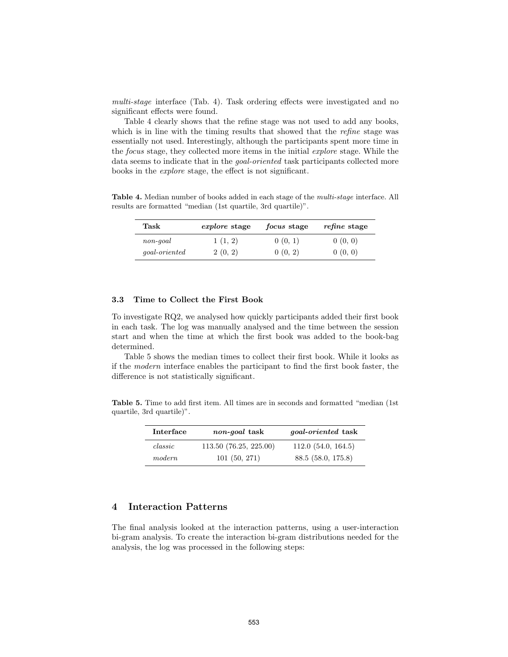multi-stage interface (Tab. 4). Task ordering effects were investigated and no significant effects were found.

Table 4 clearly shows that the refine stage was not used to add any books, which is in line with the timing results that showed that the *refine* stage was essentially not used. Interestingly, although the participants spent more time in the focus stage, they collected more items in the initial explore stage. While the data seems to indicate that in the goal-oriented task participants collected more books in the explore stage, the effect is not significant.

Table 4. Median number of books added in each stage of the *multi-stage* interface. All results are formatted "median (1st quartile, 3rd quartile)".

| ${\rm Task}$         | <i>explore</i> stage | <i>focus</i> stage | <i>refine</i> stage |  |  |
|----------------------|----------------------|--------------------|---------------------|--|--|
| $non-qoal$           | 1(1, 2)              | 0(0, 1)            | 0(0, 0)             |  |  |
| <i>goal-oriented</i> | 2(0, 2)              | 0(0, 2)            | 0(0, 0)             |  |  |

#### 3.3 Time to Collect the First Book

To investigate RQ2, we analysed how quickly participants added their first book in each task. The log was manually analysed and the time between the session start and when the time at which the first book was added to the book-bag determined.

Table 5 shows the median times to collect their first book. While it looks as if the modern interface enables the participant to find the first book faster, the difference is not statistically significant.

Table 5. Time to add first item. All times are in seconds and formatted "median (1st quartile, 3rd quartile)".

| Interface          | <i>non-goal</i> task  | <i>goal-oriented</i> task |  |  |  |
|--------------------|-----------------------|---------------------------|--|--|--|
| $\mathit{classic}$ | 113.50(76.25, 225.00) | 112.0(54.0, 164.5)        |  |  |  |
| modern             | 101(50, 271)          | 88.5(58.0, 175.8)         |  |  |  |

## 4 Interaction Patterns

The final analysis looked at the interaction patterns, using a user-interaction bi-gram analysis. To create the interaction bi-gram distributions needed for the analysis, the log was processed in the following steps: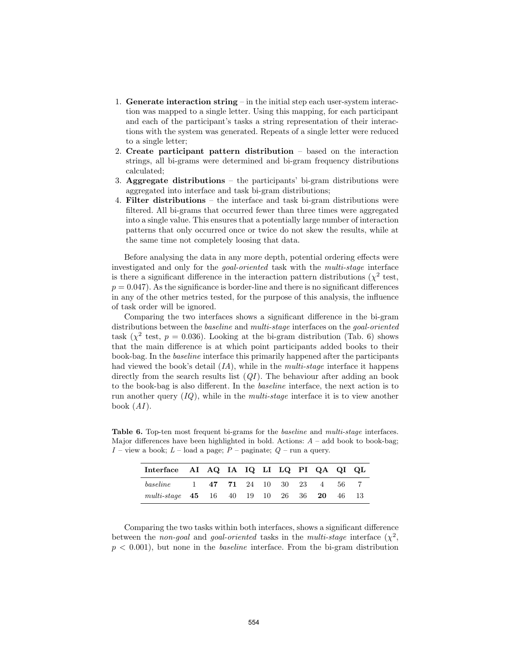- 1. Generate interaction string in the initial step each user-system interaction was mapped to a single letter. Using this mapping, for each participant and each of the participant's tasks a string representation of their interactions with the system was generated. Repeats of a single letter were reduced to a single letter;
- 2. Create participant pattern distribution based on the interaction strings, all bi-grams were determined and bi-gram frequency distributions calculated;
- 3. Aggregate distributions the participants' bi-gram distributions were aggregated into interface and task bi-gram distributions;
- 4. Filter distributions the interface and task bi-gram distributions were filtered. All bi-grams that occurred fewer than three times were aggregated into a single value. This ensures that a potentially large number of interaction patterns that only occurred once or twice do not skew the results, while at the same time not completely loosing that data.

Before analysing the data in any more depth, potential ordering effects were investigated and only for the goal-oriented task with the multi-stage interface is there a significant difference in the interaction pattern distributions ( $\chi^2$  test,  $p = 0.047$ . As the significance is border-line and there is no significant differences in any of the other metrics tested, for the purpose of this analysis, the influence of task order will be ignored.

Comparing the two interfaces shows a significant difference in the bi-gram distributions between the *baseline* and *multi-stage* interfaces on the *goal-oriented* task ( $\chi^2$  test,  $p = 0.036$ ). Looking at the bi-gram distribution (Tab. 6) shows that the main difference is at which point participants added books to their book-bag. In the baseline interface this primarily happened after the participants had viewed the book's detail  $(IA)$ , while in the *multi-stage* interface it happens directly from the search results list  $(QI)$ . The behaviour after adding an book to the book-bag is also different. In the baseline interface, the next action is to run another query  $(IQ)$ , while in the *multi-stage* interface it is to view another book  $(AI)$ .

Table 6. Top-ten most frequent bi-grams for the *baseline* and *multi-stage* interfaces. Major differences have been highlighted in bold. Actions:  $A -$  add book to book-bag;  $I$  – view a book;  $L$  – load a page;  $P$  – paginate;  $Q$  – run a query.

| Interface AI AQ IA IQ LI LQ PI QA QI QL   |  |  |  |  |  |
|-------------------------------------------|--|--|--|--|--|
| baseline 1 47 71 24 10 30 23 4 56 7       |  |  |  |  |  |
| multi-stage 45 16 40 19 10 26 36 20 46 13 |  |  |  |  |  |

Comparing the two tasks within both interfaces, shows a significant difference between the non-goal and goal-oriented tasks in the multi-stage interface  $(\chi^2,$  $p < 0.001$ , but none in the *baseline* interface. From the bi-gram distribution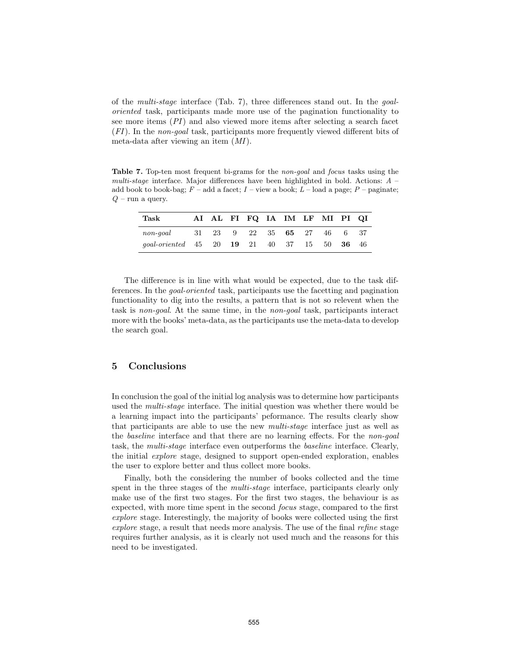of the multi-stage interface (Tab. 7), three differences stand out. In the goaloriented task, participants made more use of the pagination functionality to see more items (PI) and also viewed more items after selecting a search facet (FI). In the non-goal task, participants more frequently viewed different bits of meta-data after viewing an item (MI).

Table 7. Top-ten most frequent bi-grams for the non-goal and focus tasks using the multi-stage interface. Major differences have been highlighted in bold. Actions: A – add book to book-bag;  $F$  – add a facet;  $I$  – view a book;  $L$  – load a page;  $P$  – paginate;  $Q$  – run a query.

| Task                                                            |  |  |  | AI AL FI FQ IA IM LF MI PI QI |  |
|-----------------------------------------------------------------|--|--|--|-------------------------------|--|
| non-goal 31 23 9 22 35 65 27 46 6 37                            |  |  |  |                               |  |
| qoal-oriented $45$ $20$ $19$ $21$ $40$ $37$ $15$ $50$ $36$ $46$ |  |  |  |                               |  |

The difference is in line with what would be expected, due to the task differences. In the goal-oriented task, participants use the facetting and pagination functionality to dig into the results, a pattern that is not so relevent when the task is non-goal. At the same time, in the non-goal task, participants interact more with the books' meta-data, as the participants use the meta-data to develop the search goal.

## 5 Conclusions

In conclusion the goal of the initial log analysis was to determine how participants used the multi-stage interface. The initial question was whether there would be a learning impact into the participants' peformance. The results clearly show that participants are able to use the new multi-stage interface just as well as the baseline interface and that there are no learning effects. For the non-goal task, the multi-stage interface even outperforms the baseline interface. Clearly, the initial explore stage, designed to support open-ended exploration, enables the user to explore better and thus collect more books.

Finally, both the considering the number of books collected and the time spent in the three stages of the *multi-stage* interface, participants clearly only make use of the first two stages. For the first two stages, the behaviour is as expected, with more time spent in the second focus stage, compared to the first explore stage. Interestingly, the majority of books were collected using the first explore stage, a result that needs more analysis. The use of the final refine stage requires further analysis, as it is clearly not used much and the reasons for this need to be investigated.